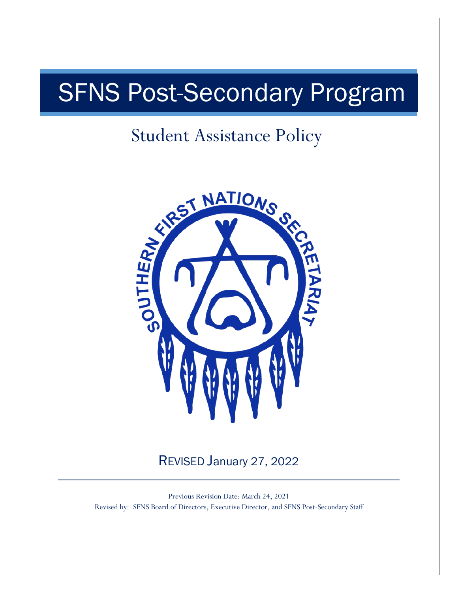# SFNS Post-Secondary Program

# Student Assistance Policy



REVISED January 27, 2022

Previous Revision Date: March 24, 2021 Revised by: SFNS Board of Directors, Executive Director, and SFNS Post-Secondary Staff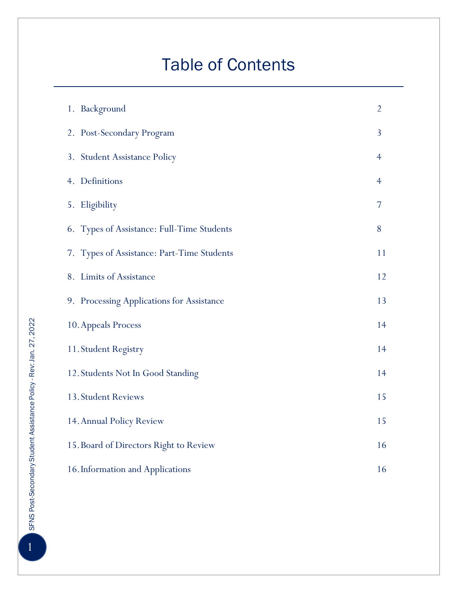# Table of Contents

| 1. Background                                | $\overline{2}$ |  |  |
|----------------------------------------------|----------------|--|--|
| 2. Post-Secondary Program                    | 3              |  |  |
| 3. Student Assistance Policy                 | 4              |  |  |
| 4. Definitions                               | $\overline{4}$ |  |  |
| 5. Eligibility                               | 7              |  |  |
| 6. Types of Assistance: Full-Time Students   | 8              |  |  |
| 7. Types of Assistance: Part-Time Students   | 11             |  |  |
| 8. Limits of Assistance                      | 12             |  |  |
| 9. Processing Applications for Assistance    | 13             |  |  |
| 10. Appeals Process                          | 14             |  |  |
| 11. Student Registry                         | 14             |  |  |
| 12. Students Not In Good Standing            | 14             |  |  |
| 13. Student Reviews                          | 15             |  |  |
| 15<br>14. Annual Policy Review               |                |  |  |
| 16<br>15. Board of Directors Right to Review |                |  |  |
| 16. Information and Applications<br>16       |                |  |  |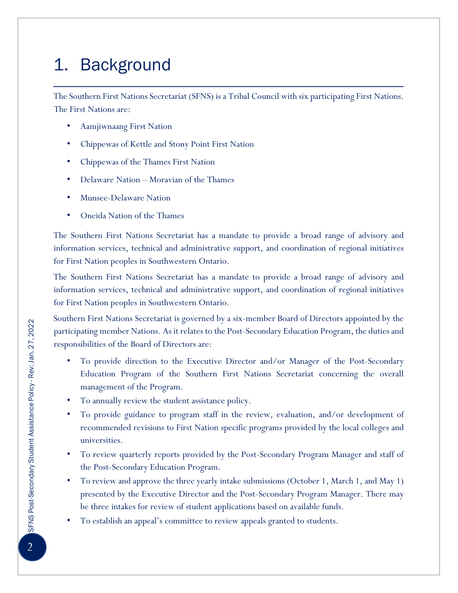# 1. Background

The Southern First Nations Secretariat (SFNS) is a Tribal Council with six participating First Nations. The First Nations are:

- Aamjiwnaang First Nation
- Chippewas of Kettle and Stony Point First Nation
- Chippewas of the Thames First Nation
- Delaware Nation Moravian of the Thames
- Munsee-Delaware Nation
- Oneida Nation of the Thames

The Southern First Nations Secretariat has a mandate to provide a broad range of advisory and information services, technical and administrative support, and coordination of regional initiatives for First Nation peoples in Southwestern Ontario.

The Southern First Nations Secretariat has a mandate to provide a broad range of advisory and information services, technical and administrative support, and coordination of regional initiatives for First Nation peoples in Southwestern Ontario.

Southern First Nations Secretariat is governed by a six-member Board of Directors appointed by the participating member Nations. As it relates to the Post-Secondary Education Program, the duties and responsibilities of the Board of Directors are:

- To provide direction to the Executive Director and/or Manager of the Post-Secondary Education Program of the Southern First Nations Secretariat concerning the overall management of the Program.
- To annually review the student assistance policy.
- To provide guidance to program staff in the review, evaluation, and/or development of recommended revisions to First Nation specific programs provided by the local colleges and universities.
- To review quarterly reports provided by the Post-Secondary Program Manager and staff of the Post-Secondary Education Program.
- To review and approve the three yearly intake submissions (October 1, March 1, and May 1) presented by the Executive Director and the Post-Secondary Program Manager. There may be three intakes for review of student applications based on available funds.
- To establish an appeal's committee to review appeals granted to students.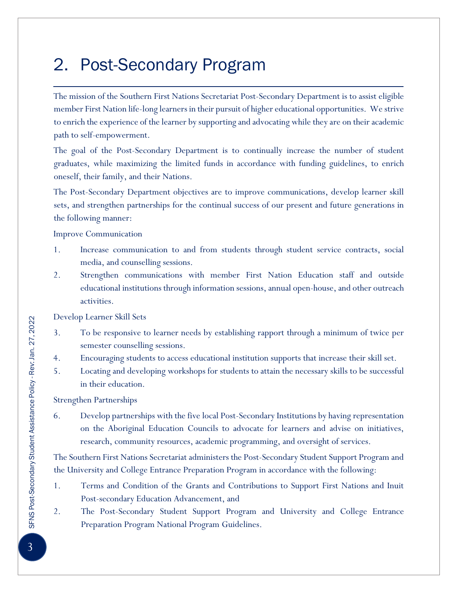### 2. Post-Secondary Program

The mission of the Southern First Nations Secretariat Post-Secondary Department is to assist eligible member First Nation life-long learners in their pursuit of higher educational opportunities. We strive to enrich the experience of the learner by supporting and advocating while they are on their academic path to self-empowerment.

The goal of the Post-Secondary Department is to continually increase the number of student graduates, while maximizing the limited funds in accordance with funding guidelines, to enrich oneself, their family, and their Nations.

The Post-Secondary Department objectives are to improve communications, develop learner skill sets, and strengthen partnerships for the continual success of our present and future generations in the following manner:

Improve Communication

- 1. Increase communication to and from students through student service contracts, social media, and counselling sessions.
- 2. Strengthen communications with member First Nation Education staff and outside educational institutions through information sessions, annual open-house, and other outreach activities.

Develop Learner Skill Sets

- 3. To be responsive to learner needs by establishing rapport through a minimum of twice per semester counselling sessions.
- 4. Encouraging students to access educational institution supports that increase their skill set.
- 5. Locating and developing workshops for students to attain the necessary skills to be successful in their education.

Strengthen Partnerships

6. Develop partnerships with the five local Post-Secondary Institutions by having representation on the Aboriginal Education Councils to advocate for learners and advise on initiatives, research, community resources, academic programming, and oversight of services.

The Southern First Nations Secretariat administers the Post-Secondary Student Support Program and the University and College Entrance Preparation Program in accordance with the following:

- 1. Terms and Condition of the Grants and Contributions to Support First Nations and Inuit Post-secondary Education Advancement, and
- 2. The Post-Secondary Student Support Program and University and College Entrance Preparation Program National Program Guidelines.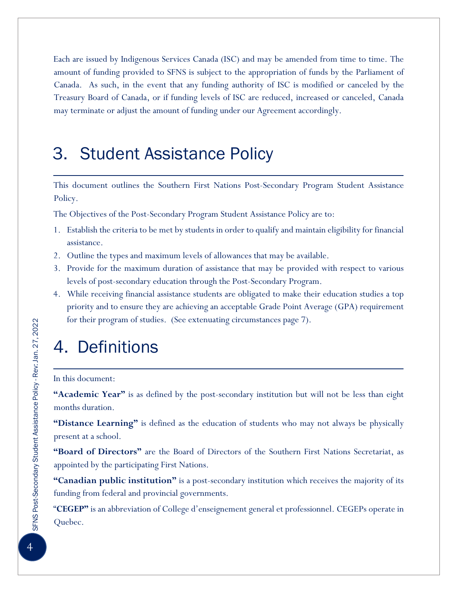Each are issued by Indigenous Services Canada (ISC) and may be amended from time to time. The amount of funding provided to SFNS is subject to the appropriation of funds by the Parliament of Canada. As such, in the event that any funding authority of ISC is modified or canceled by the Treasury Board of Canada, or if funding levels of ISC are reduced, increased or canceled, Canada may terminate or adjust the amount of funding under our Agreement accordingly.

#### 3. Student Assistance Policy

This document outlines the Southern First Nations Post-Secondary Program Student Assistance Policy.

The Objectives of the Post-Secondary Program Student Assistance Policy are to:

- 1. Establish the criteria to be met by students in order to qualify and maintain eligibility for financial assistance.
- 2. Outline the types and maximum levels of allowances that may be available.
- 3. Provide for the maximum duration of assistance that may be provided with respect to various levels of post-secondary education through the Post-Secondary Program.
- 4. While receiving financial assistance students are obligated to make their education studies a top priority and to ensure they are achieving an acceptable Grade Point Average (GPA) requirement for their program of studies. (See extenuating circumstances page 7).

#### 4. Definitions

#### In this document:

**"Academic Year"** is as defined by the post-secondary institution but will not be less than eight months duration.

**"Distance Learning"** is defined as the education of students who may not always be physically present at a school.

**"Board of Directors"** are the Board of Directors of the Southern First Nations Secretariat, as appointed by the participating First Nations.

**"Canadian public institution"** is a post-secondary institution which receives the majority of its funding from federal and provincial governments.

"**CEGEP"** is an abbreviation of College d'enseignement general et professionnel. CEGEPs operate in Quebec.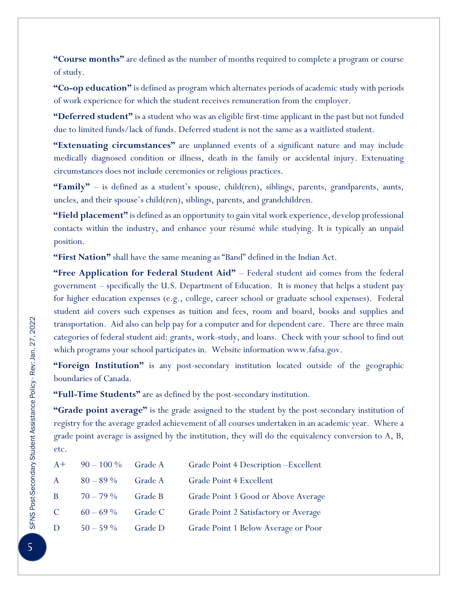**"Course months"** are defined as the number of months required to complete a program or course of study.

**"Co-op education"** is defined as program which alternates periods of academic study with periods of work experience for which the student receives remuneration from the employer.

**"Deferred student"** is a student who was an eligible first-time applicant in the past but not funded due to limited funds/lack of funds. Deferred student is not the same as a waitlisted student.

**"Extenuating circumstances"** are unplanned events of a significant nature and may include medically diagnosed condition or illness, death in the family or accidental injury. Extenuating circumstances does not include ceremonies or religious practices.

**"Family"** – is defined as a student's spouse, child(ren), siblings, parents, grandparents, aunts, uncles, and their spouse's child(ren), siblings, parents, and grandchildren.

**"Field placement"** is defined as an opportunity to gain vital work experience, develop professional contacts within the industry, and enhance your résumé while studying. It is typically an unpaid position.

**"First Nation"** shall have the same meaning as "Band" defined in the Indian Act.

**"Free Application for Federal Student Aid"** – Federal student aid comes from the federal government – specifically the U.S. Department of Education. It is money that helps a student pay for higher education expenses (e.g., college, career school or graduate school expenses). Federal student aid covers such expenses as tuition and fees, room and board, books and supplies and transportation. Aid also can help pay for a computer and for dependent care. There are three main categories of federal student aid: grants, work-study, and loans. Check with your school to find out which programs your school participates in. Website information www.fafsa.gov.

**"Foreign Institution"** is any post-secondary institution located outside of the geographic boundaries of Canada.

**"Full-Time Students"** are as defined by the post-secondary institution.

**"Grade point average"** is the grade assigned to the student by the post-secondary institution of registry for the average graded achievement of all courses undertaken in an academic year. Where a grade point average is assigned by the institution, they will do the equivalency conversion to A, B, etc.

| $A+$          | $90 - 100\%$ | Grade A | Grade Point 4 Description - Excellent |
|---------------|--------------|---------|---------------------------------------|
| A             | $80 - 89\%$  | Grade A | Grade Point 4 Excellent               |
| B.            | $70 - 79\%$  | Grade B | Grade Point 3 Good or Above Average   |
| $\mathcal{C}$ | $60 - 69\%$  | Grade C | Grade Point 2 Satisfactory or Average |
| D             | $50 - 59\%$  | Grade D | Grade Point 1 Below Average or Poor   |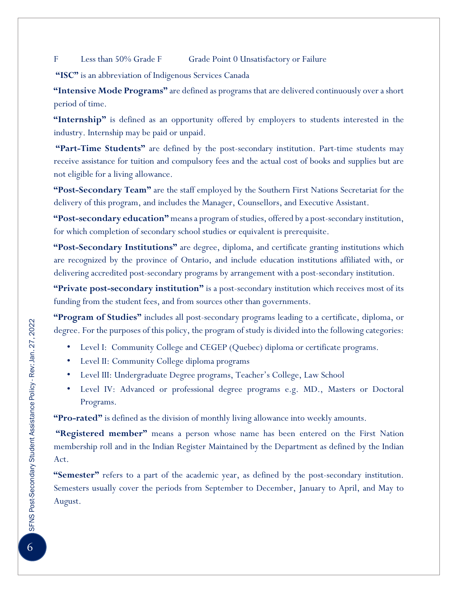F Less than 50% Grade F Grade Point 0 Unsatisfactory or Failure

**"ISC"** is an abbreviation of Indigenous Services Canada

**"Intensive Mode Programs"** are defined as programs that are delivered continuously over a short period of time.

**"Internship"** is defined as an opportunity offered by employers to students interested in the industry. Internship may be paid or unpaid.

**"Part-Time Students"** are defined by the post-secondary institution. Part-time students may receive assistance for tuition and compulsory fees and the actual cost of books and supplies but are not eligible for a living allowance.

**"Post-Secondary Team"** are the staff employed by the Southern First Nations Secretariat for the delivery of this program, and includes the Manager, Counsellors, and Executive Assistant.

**"Post-secondary education"** means a program of studies, offered by a post-secondary institution, for which completion of secondary school studies or equivalent is prerequisite.

**"Post-Secondary Institutions"** are degree, diploma, and certificate granting institutions which are recognized by the province of Ontario, and include education institutions affiliated with, or delivering accredited post-secondary programs by arrangement with a post-secondary institution.

**"Private post-secondary institution"** is a post-secondary institution which receives most of its funding from the student fees, and from sources other than governments.

**"Program of Studies"** includes all post-secondary programs leading to a certificate, diploma, or degree. For the purposes of this policy, the program of study is divided into the following categories:

- Level I: Community College and CEGEP (Quebec) diploma or certificate programs.
- Level II: Community College diploma programs
- Level III: Undergraduate Degree programs, Teacher's College, Law School
- Level IV: Advanced or professional degree programs e.g. MD., Masters or Doctoral Programs.

**"Pro-rated"** is defined as the division of monthly living allowance into weekly amounts.

**"Registered member"** means a person whose name has been entered on the First Nation membership roll and in the Indian Register Maintained by the Department as defined by the Indian Act.

**"Semester"** refers to a part of the academic year, as defined by the post-secondary institution. Semesters usually cover the periods from September to December, January to April, and May to August.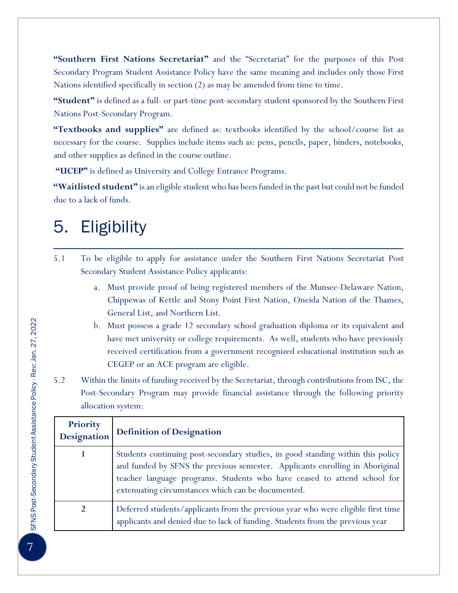**"Southern First Nations Secretariat"** and the "Secretariat" for the purposes of this Post Secondary Program Student Assistance Policy have the same meaning and includes only those First Nations identified specifically in section (2) as may be amended from time to time.

**"Student"** is defined as a full- or part-time post-secondary student sponsored by the Southern First Nations Post-Secondary Program.

**"Textbooks and supplies"** are defined as: textbooks identified by the school/course list as necessary for the course. Supplies include items such as: pens, pencils, paper, binders, notebooks, and other supplies as defined in the course outline.

**"UCEP"** is defined as University and College Entrance Programs.

**"Waitlisted student"** is an eligible student who has been funded in the past but could not be funded due to a lack of funds.

#### 5. Eligibility

- 5.1 To be eligible to apply for assistance under the Southern First Nations Secretariat Post Secondary Student Assistance Policy applicants:
	- a. Must provide proof of being registered members of the Munsee-Delaware Nation, Chippewas of Kettle and Stony Point First Nation, Oneida Nation of the Thames, General List, and Northern List.
	- b. Must possess a grade 12 secondary school graduation diploma or its equivalent and have met university or college requirements. As well, students who have previously received certification from a government recognized educational institution such as CEGEP or an ACE program are eligible.
- 5.2 Within the limits of funding received by the Secretariat, through contributions from ISC, the Post-Secondary Program may provide financial assistance through the following priority allocation system:

| Priority<br><b>Designation</b> | <b>Definition of Designation</b>                                                                                                                                                                                                                                                                  |
|--------------------------------|---------------------------------------------------------------------------------------------------------------------------------------------------------------------------------------------------------------------------------------------------------------------------------------------------|
|                                | Students continuing post-secondary studies, in good standing within this policy<br>and funded by SFNS the previous semester. Applicants enrolling in Aboriginal<br>teacher language programs. Students who have ceased to attend school for<br>extenuating circumstances which can be documented. |
|                                | Deferred students/applicants from the previous year who were eligible first time<br>applicants and denied due to lack of funding. Students from the previous year                                                                                                                                 |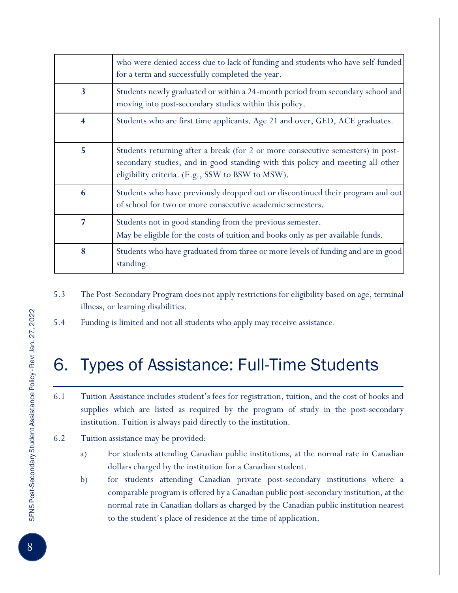|   | who were denied access due to lack of funding and students who have self-funded<br>for a term and successfully completed the year.                                                                                    |
|---|-----------------------------------------------------------------------------------------------------------------------------------------------------------------------------------------------------------------------|
| 3 | Students newly graduated or within a 24-month period from secondary school and<br>moving into post-secondary studies within this policy.                                                                              |
| 4 | Students who are first time applicants. Age 21 and over, GED, ACE graduates.                                                                                                                                          |
| 5 | Students returning after a break (for 2 or more consecutive semesters) in post-<br>secondary studies, and in good standing with this policy and meeting all other<br>eligibility criteria. (E.g., SSW to BSW to MSW). |
| 6 | Students who have previously dropped out or discontinued their program and out<br>of school for two or more consecutive academic semesters.                                                                           |
| 7 | Students not in good standing from the previous semester.<br>May be eligible for the costs of tuition and books only as per available funds.                                                                          |
| 8 | Students who have graduated from three or more levels of funding and are in good<br>standing.                                                                                                                         |

- 5.3 The Post-Secondary Program does not apply restrictions for eligibility based on age, terminal illness, or learning disabilities.
- 5.4 Funding is limited and not all students who apply may receive assistance.

#### 6. Types of Assistance: Full-Time Students

- 6.1 Tuition Assistance includes student's fees for registration, tuition, and the cost of books and supplies which are listed as required by the program of study in the post-secondary institution. Tuition is always paid directly to the institution.
- 6.2 Tuition assistance may be provided:
	- a) For students attending Canadian public institutions, at the normal rate in Canadian dollars charged by the institution for a Canadian student.
	- b) for students attending Canadian private post-secondary institutions where a comparable program is offered by a Canadian public post-secondary institution, at the normal rate in Canadian dollars as charged by the Canadian public institution nearest to the student's place of residence at the time of application.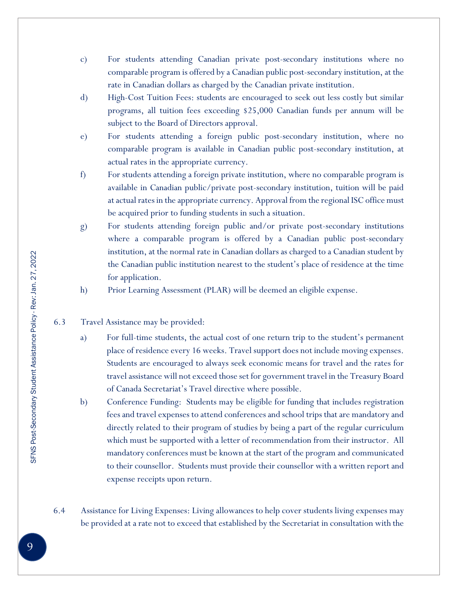- c) For students attending Canadian private post-secondary institutions where no comparable program is offered by a Canadian public post-secondary institution, at the rate in Canadian dollars as charged by the Canadian private institution.
- d) High-Cost Tuition Fees: students are encouraged to seek out less costly but similar programs, all tuition fees exceeding \$25,000 Canadian funds per annum will be subject to the Board of Directors approval.
- e) For students attending a foreign public post-secondary institution, where no comparable program is available in Canadian public post-secondary institution, at actual rates in the appropriate currency.
- f) For students attending a foreign private institution, where no comparable program is available in Canadian public/private post-secondary institution, tuition will be paid at actual rates in the appropriate currency. Approval from the regional ISC office must be acquired prior to funding students in such a situation.
- g) For students attending foreign public and/or private post-secondary institutions where a comparable program is offered by a Canadian public post-secondary institution, at the normal rate in Canadian dollars as charged to a Canadian student by the Canadian public institution nearest to the student's place of residence at the time for application.
- h) Prior Learning Assessment (PLAR) will be deemed an eligible expense.
- 6.3 Travel Assistance may be provided:
	- a) For full-time students, the actual cost of one return trip to the student's permanent place of residence every 16 weeks. Travel support does not include moving expenses. Students are encouraged to always seek economic means for travel and the rates for travel assistance will not exceed those set for government travel in the Treasury Board of Canada Secretariat's Travel directive where possible.
	- b) Conference Funding: Students may be eligible for funding that includes registration fees and travel expenses to attend conferences and school trips that are mandatory and directly related to their program of studies by being a part of the regular curriculum which must be supported with a letter of recommendation from their instructor. All mandatory conferences must be known at the start of the program and communicated to their counsellor. Students must provide their counsellor with a written report and expense receipts upon return.
- 6.4 Assistance for Living Expenses: Living allowances to help cover students living expenses may be provided at a rate not to exceed that established by the Secretariat in consultation with the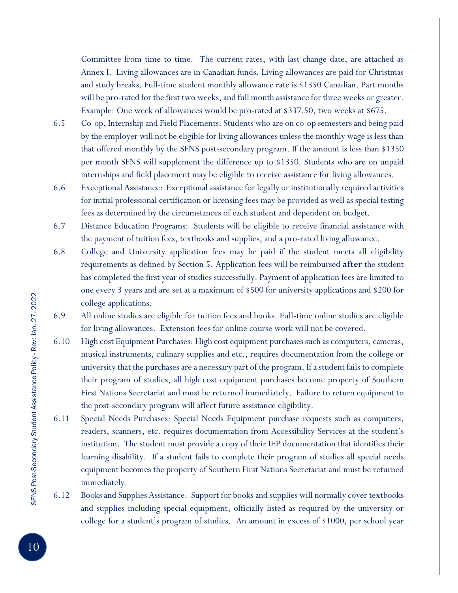Committee from time to time. The current rates, with last change date, are attached as Annex I. Living allowances are in Canadian funds. Living allowances are paid for Christmas and study breaks. Full-time student monthly allowance rate is \$1350 Canadian. Part months will be pro-rated for the first two weeks, and full month assistance for three weeks or greater. Example: One week of allowances would be pro-rated at \$337.50, two weeks at \$675.

- 6.5 Co-op, Internship and Field Placements: Students who are on co-op semesters and being paid by the employer will not be eligible for living allowances unless the monthly wage is less than that offered monthly by the SFNS post-secondary program. If the amount is less than \$1350 per month SFNS will supplement the difference up to \$1350. Students who are on unpaid internships and field placement may be eligible to receive assistance for living allowances.
- 6.6 Exceptional Assistance: Exceptional assistance for legally or institutionally required activities for initial professional certification or licensing fees may be provided as well as special testing fees as determined by the circumstances of each student and dependent on budget.
- 6.7 Distance Education Programs: Students will be eligible to receive financial assistance with the payment of tuition fees, textbooks and supplies, and a pro-rated living allowance.
- 6.8 College and University application fees may be paid if the student meets all eligibility requirements as defined by Section 5. Application fees will be reimbursed **after** the student has completed the first year of studies successfully. Payment of application fees are limited to one every 3 years and are set at a maximum of \$500 for university applications and \$200 for college applications.
- 6.9 All online studies are eligible for tuition fees and books. Full-time online studies are eligible for living allowances. Extension fees for online course work will not be covered.
- 6.10 High cost Equipment Purchases: High cost equipment purchases such as computers, cameras, musical instruments, culinary supplies and etc., requires documentation from the college or university that the purchases are a necessary part of the program. If a student fails to complete their program of studies, all high cost equipment purchases become property of Southern First Nations Secretariat and must be returned immediately. Failure to return equipment to the post-secondary program will affect future assistance eligibility.
- 6.11 Special Needs Purchases: Special Needs Equipment purchase requests such as computers, readers, scanners, etc. requires documentation from Accessibility Services at the student's institution. The student must provide a copy of their IEP documentation that identifies their learning disability. If a student fails to complete their program of studies all special needs equipment becomes the property of Southern First Nations Secretariat and must be returned immediately.
- 6.12 Books and Supplies Assistance: Support for books and supplies will normally cover textbooks and supplies including special equipment, officially listed as required by the university or college for a student's program of studies. An amount in excess of \$1000, per school year

10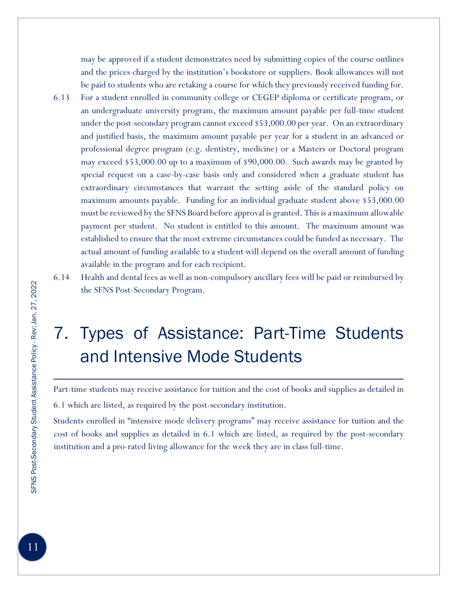may be approved if a student demonstrates need by submitting copies of the course outlines and the prices charged by the institution's bookstore or suppliers. Book allowances will not be paid to students who are retaking a course for which they previously received funding for.

- 6.13 For a student enrolled in community college or CEGEP diploma or certificate program, or an undergraduate university program, the maximum amount payable per full-time student under the post-secondary program cannot exceed \$53,000.00 per year. On an extraordinary and justified basis, the maximum amount payable per year for a student in an advanced or professional degree program (e.g. dentistry, medicine) or a Masters or Doctoral program may exceed \$53,000.00 up to a maximum of \$90,000.00. Such awards may be granted by special request on a case-by-case basis only and considered when a graduate student has extraordinary circumstances that warrant the setting aside of the standard policy on maximum amounts payable. Funding for an individual graduate student above \$53,000.00 must be reviewed by the SFNS Board before approval is granted. This is a maximum allowable payment per student. No student is entitled to this amount. The maximum amount was established to ensure that the most extreme circumstances could be funded as necessary. The actual amount of funding available to a student will depend on the overall amount of funding available in the program and for each recipient.
- 6.14 Health and dental fees as well as non-compulsory ancillary fees will be paid or reimbursed by the SFNS Post-Secondary Program.

# 7. Types of Assistance: Part-Time Students and Intensive Mode Students

Part-time students may receive assistance for tuition and the cost of books and supplies as detailed in 6.1 which are listed, as required by the post-secondary institution.

Students enrolled in "intensive mode delivery programs" may receive assistance for tuition and the cost of books and supplies as detailed in 6.1 which are listed, as required by the post-secondary institution and a pro-rated living allowance for the week they are in class full-time.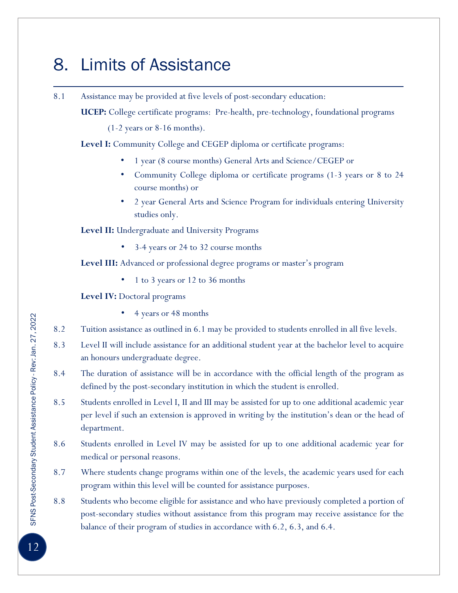#### 8. Limits of Assistance

8.1 Assistance may be provided at five levels of post-secondary education: **UCEP:** College certificate programs: Pre-health, pre-technology, foundational programs (1-2 years or 8-16 months). **Level I:** Community College and CEGEP diploma or certificate programs: • 1 year (8 course months) General Arts and Science/CEGEP or • Community College diploma or certificate programs (1-3 years or 8 to 24 course months) or • 2 year General Arts and Science Program for individuals entering University studies only. **Level II:** Undergraduate and University Programs • 3-4 years or 24 to 32 course months **Level III:** Advanced or professional degree programs or master's program • 1 to 3 years or 12 to 36 months **Level IV:** Doctoral programs • 4 years or 48 months 8.2 Tuition assistance as outlined in 6.1 may be provided to students enrolled in all five levels. 8.3 Level II will include assistance for an additional student year at the bachelor level to acquire an honours undergraduate degree. 8.4 The duration of assistance will be in accordance with the official length of the program as defined by the post-secondary institution in which the student is enrolled. 8.5 Students enrolled in Level I, II and III may be assisted for up to one additional academic year per level if such an extension is approved in writing by the institution's dean or the head of department. 8.6 Students enrolled in Level IV may be assisted for up to one additional academic year for medical or personal reasons. 8.7 Where students change programs within one of the levels, the academic years used for each program within this level will be counted for assistance purposes.

8.8 Students who become eligible for assistance and who have previously completed a portion of post-secondary studies without assistance from this program may receive assistance for the balance of their program of studies in accordance with 6.2, 6.3, and 6.4.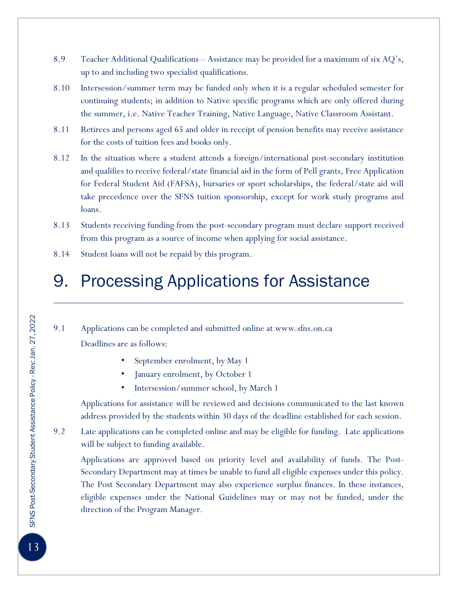- 8.9 Teacher Additional Qualifications Assistance may be provided for a maximum of six AQ's, up to and including two specialist qualifications.
- 8.10 Intersession/summer term may be funded only when it is a regular scheduled semester for continuing students; in addition to Native specific programs which are only offered during the summer, i.e. Native Teacher Training, Native Language, Native Classroom Assistant.
- 8.11 Retirees and persons aged 65 and older in receipt of pension benefits may receive assistance for the costs of tuition fees and books only.
- 8.12 In the situation where a student attends a foreign/international post-secondary institution and qualifies to receive federal/state financial aid in the form of Pell grants, Free Application for Federal Student Aid (FAFSA), bursaries or sport scholarships, the federal/state aid will take precedence over the SFNS tuition sponsorship, except for work study programs and loans.
- 8.13 Students receiving funding from the post-secondary program must declare support received from this program as a source of income when applying for social assistance.
- 8.14 Student loans will not be repaid by this program.

#### 9. Processing Applications for Assistance

9.1 Applications can be completed and submitted online at www.sfns.on.ca Deadlines are as follows:

- September enrolment, by May 1
- January enrolment, by October 1
- Intersession/summer school, by March 1

Applications for assistance will be reviewed and decisions communicated to the last known address provided by the students within 30 days of the deadline established for each session.

9.2 Late applications can be completed online and may be eligible for funding. Late applications will be subject to funding available.

Applications are approved based on priority level and availability of funds. The Post-Secondary Department may at times be unable to fund all eligible expenses under this policy. The Post Secondary Department may also experience surplus finances. In these instances, eligible expenses under the National Guidelines may or may not be funded, under the direction of the Program Manager.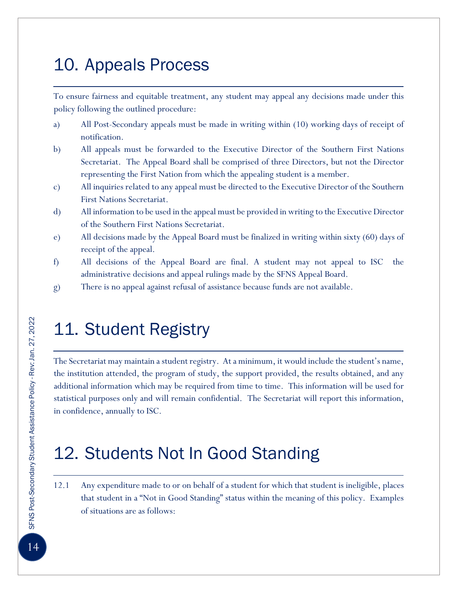#### 10. Appeals Process

To ensure fairness and equitable treatment, any student may appeal any decisions made under this policy following the outlined procedure:

- a) All Post-Secondary appeals must be made in writing within (10) working days of receipt of notification.
- b) All appeals must be forwarded to the Executive Director of the Southern First Nations Secretariat. The Appeal Board shall be comprised of three Directors, but not the Director representing the First Nation from which the appealing student is a member.
- c) All inquiries related to any appeal must be directed to the Executive Director of the Southern First Nations Secretariat.
- d) All information to be used in the appeal must be provided in writing to the Executive Director of the Southern First Nations Secretariat.
- e) All decisions made by the Appeal Board must be finalized in writing within sixty (60) days of receipt of the appeal.
- f) All decisions of the Appeal Board are final. A student may not appeal to ISC the administrative decisions and appeal rulings made by the SFNS Appeal Board.
- g) There is no appeal against refusal of assistance because funds are not available.

### 11. Student Registry

The Secretariat may maintain a student registry. At a minimum, it would include the student's name, the institution attended, the program of study, the support provided, the results obtained, and any additional information which may be required from time to time. This information will be used for statistical purposes only and will remain confidential. The Secretariat will report this information, in confidence, annually to ISC.

#### 12. Students Not In Good Standing

12.1 Any expenditure made to or on behalf of a student for which that student is ineligible, places that student in a "Not in Good Standing" status within the meaning of this policy. Examples of situations are as follows: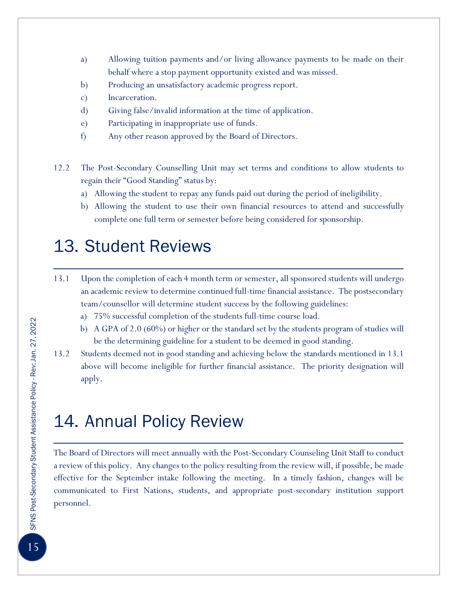- a) Allowing tuition payments and/or living allowance payments to be made on their behalf where a stop payment opportunity existed and was missed.
- b) Producing an unsatisfactory academic progress report.
- c) Incarceration.
- d) Giving false/invalid information at the time of application.
- e) Participating in inappropriate use of funds.
- f) Any other reason approved by the Board of Directors.
- 12.2 The Post-Secondary Counselling Unit may set terms and conditions to allow students to regain their "Good Standing" status by:
	- a) Allowing the student to repay any funds paid out during the period of ineligibility.
	- b) Allowing the student to use their own financial resources to attend and successfully complete one full term or semester before being considered for sponsorship.

#### 13. Student Reviews

- 13.1 Upon the completion of each 4 month term or semester, all sponsored students will undergo an academic review to determine continued full-time financial assistance. The postsecondary team/counsellor will determine student success by the following guidelines:
	- a) 75% successful completion of the students full-time course load.
	- b) A GPA of 2.0 (60%) or higher or the standard set by the students program of studies will be the determining guideline for a student to be deemed in good standing.
- 13.2 Students deemed not in good standing and achieving below the standards mentioned in 13.1 above will become ineligible for further financial assistance. The priority designation will apply.

#### 14. Annual Policy Review

The Board of Directors will meet annually with the Post-Secondary Counseling Unit Staff to conduct a review of this policy. Any changes to the policy resulting from the review will, if possible, be made effective for the September intake following the meeting. In a timely fashion, changes will be communicated to First Nations, students, and appropriate post-secondary institution support personnel.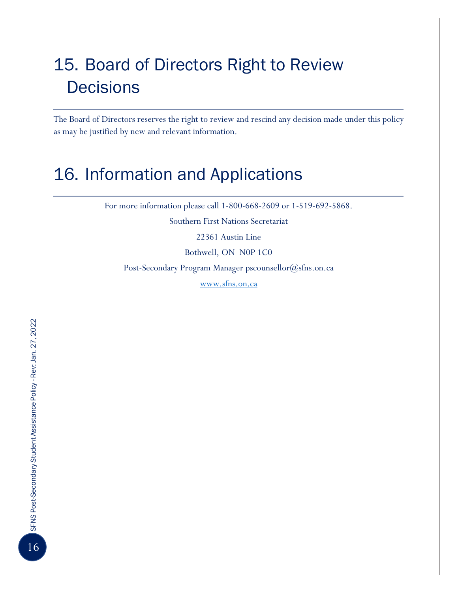# 15. Board of Directors Right to Review **Decisions**

The Board of Directors reserves the right to review and rescind any decision made under this policy as may be justified by new and relevant information.

#### 16. Information and Applications

For more information please call 1-800-668-2609 or 1-519-692-5868.

Southern First Nations Secretariat

22361 Austin Line

Bothwell, ON N0P 1C0

Post-Secondary Program Manager pscounsellor@sfns.on.ca

[www.sfns.on.ca](http://www.sfns.on.ca/)